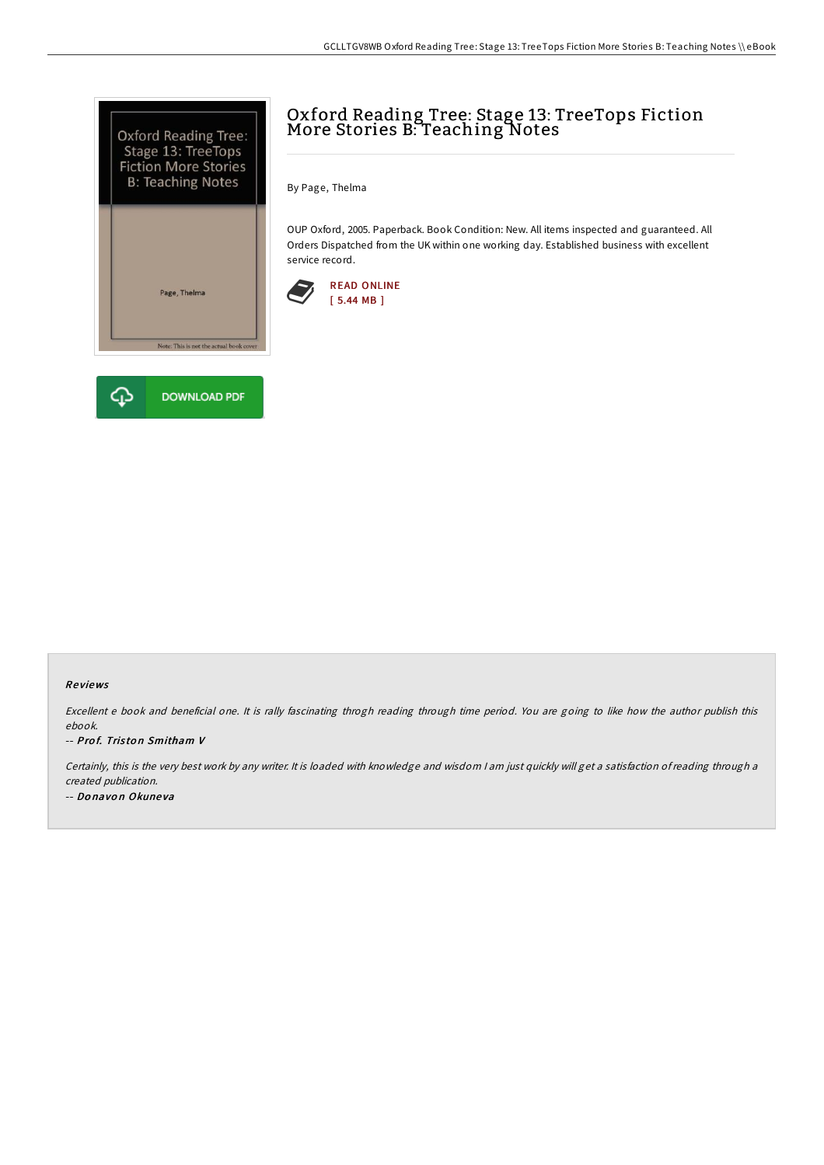



# Oxford Reading Tree: Stage 13: TreeTops Fiction More Stories B: Teaching Notes

By Page, Thelma

OUP Oxford, 2005. Paperback. Book Condition: New. All items inspected and guaranteed. All Orders Dispatched from the UK within one working day. Established business with excellent service record.



#### Re views

Excellent <sup>e</sup> book and beneficial one. It is rally fascinating throgh reading through time period. You are going to like how the author publish this ebook.

#### -- Prof. Triston Smitham V

Certainly, this is the very best work by any writer. It is loaded with knowledge and wisdom <sup>I</sup> am just quickly will get <sup>a</sup> satisfaction of reading through <sup>a</sup> created publication. -- Donavon Okuneva